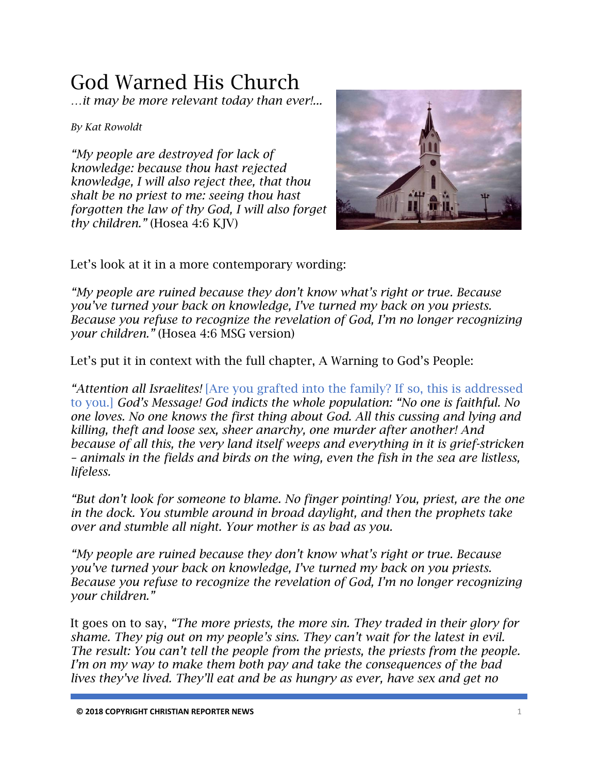## God Warned His Church

*…it may be more relevant today than ever!...*

*By Kat Rowoldt*

*"My people are destroyed for lack of knowledge: because thou hast rejected knowledge, I will also reject thee, that thou shalt be no priest to me: seeing thou hast forgotten the law of thy God, I will also forget thy children."* (Hosea 4:6 KJV)



Let's look at it in a more contemporary wording:

*"My people are ruined because they don't know what's right or true. Because you've turned your back on knowledge, I've turned my back on you priests. Because you refuse to recognize the revelation of God, I'm no longer recognizing your children."* (Hosea 4:6 MSG version)

Let's put it in context with the full chapter, A Warning to God's People:

*"Attention all Israelites!* [Are you grafted into the family? If so, this is addressed to you.] *God's Message! God indicts the whole population: "No one is faithful. No one loves. No one knows the first thing about God. All this cussing and lying and killing, theft and loose sex, sheer anarchy, one murder after another! And because of all this, the very land itself weeps and everything in it is grief-stricken – animals in the fields and birds on the wing, even the fish in the sea are listless, lifeless.* 

*"But don't look for someone to blame. No finger pointing! You, priest, are the one in the dock. You stumble around in broad daylight, and then the prophets take over and stumble all night. Your mother is as bad as you.*

*"My people are ruined because they don't know what's right or true. Because you've turned your back on knowledge, I've turned my back on you priests. Because you refuse to recognize the revelation of God, I'm no longer recognizing your children."*

It goes on to say, *"The more priests, the more sin. They traded in their glory for shame. They pig out on my people's sins. They can't wait for the latest in evil. The result: You can't tell the people from the priests, the priests from the people. I'm on my way to make them both pay and take the consequences of the bad lives they've lived. They'll eat and be as hungry as ever, have sex and get no*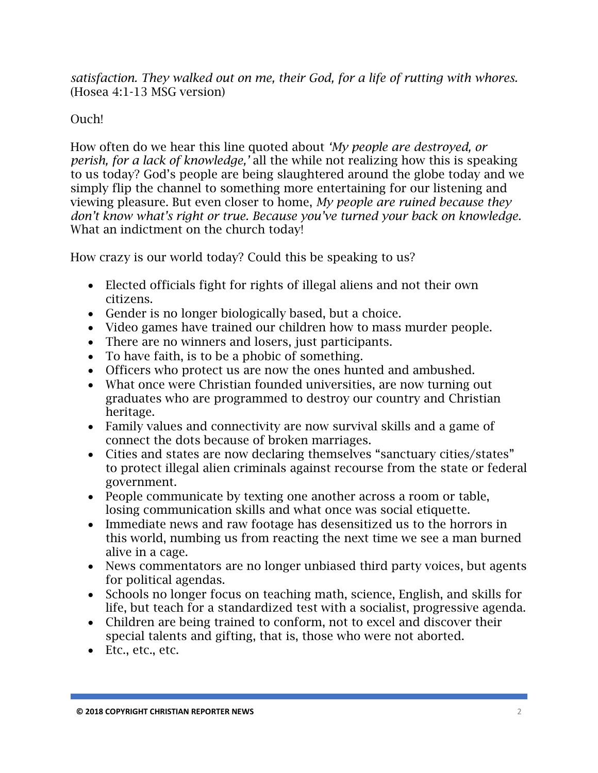*satisfaction. They walked out on me, their God, for a life of rutting with whores.* (Hosea 4:1-13 MSG version)

## Ouch!

How often do we hear this line quoted about *'My people are destroyed, or perish, for a lack of knowledge,'* all the while not realizing how this is speaking to us today? God's people are being slaughtered around the globe today and we simply flip the channel to something more entertaining for our listening and viewing pleasure. But even closer to home, *My people are ruined because they don't know what's right or true. Because you've turned your back on knowledge.*  What an indictment on the church today!

How crazy is our world today? Could this be speaking to us?

- Elected officials fight for rights of illegal aliens and not their own citizens.
- Gender is no longer biologically based, but a choice.
- Video games have trained our children how to mass murder people.
- There are no winners and losers, just participants.
- To have faith, is to be a phobic of something.
- Officers who protect us are now the ones hunted and ambushed.
- What once were Christian founded universities, are now turning out graduates who are programmed to destroy our country and Christian heritage.
- Family values and connectivity are now survival skills and a game of connect the dots because of broken marriages.
- Cities and states are now declaring themselves "sanctuary cities/states" to protect illegal alien criminals against recourse from the state or federal government.
- People communicate by texting one another across a room or table, losing communication skills and what once was social etiquette.
- Immediate news and raw footage has desensitized us to the horrors in this world, numbing us from reacting the next time we see a man burned alive in a cage.
- News commentators are no longer unbiased third party voices, but agents for political agendas.
- Schools no longer focus on teaching math, science, English, and skills for life, but teach for a standardized test with a socialist, progressive agenda.
- Children are being trained to conform, not to excel and discover their special talents and gifting, that is, those who were not aborted.
- Etc., etc., etc.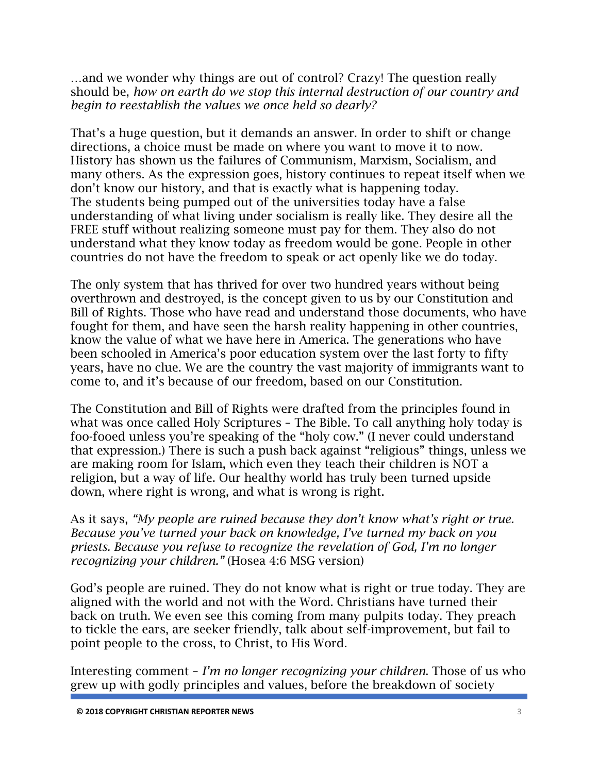…and we wonder why things are out of control? Crazy! The question really should be, *how on earth do we stop this internal destruction of our country and begin to reestablish the values we once held so dearly?*

That's a huge question, but it demands an answer. In order to shift or change directions, a choice must be made on where you want to move it to now. History has shown us the failures of Communism, Marxism, Socialism, and many others. As the expression goes, history continues to repeat itself when we don't know our history, and that is exactly what is happening today. The students being pumped out of the universities today have a false understanding of what living under socialism is really like. They desire all the FREE stuff without realizing someone must pay for them. They also do not understand what they know today as freedom would be gone. People in other countries do not have the freedom to speak or act openly like we do today.

The only system that has thrived for over two hundred years without being overthrown and destroyed, is the concept given to us by our Constitution and Bill of Rights. Those who have read and understand those documents, who have fought for them, and have seen the harsh reality happening in other countries, know the value of what we have here in America. The generations who have been schooled in America's poor education system over the last forty to fifty years, have no clue. We are the country the vast majority of immigrants want to come to, and it's because of our freedom, based on our Constitution.

The Constitution and Bill of Rights were drafted from the principles found in what was once called Holy Scriptures – The Bible. To call anything holy today is foo-fooed unless you're speaking of the "holy cow." (I never could understand that expression.) There is such a push back against "religious" things, unless we are making room for Islam, which even they teach their children is NOT a religion, but a way of life. Our healthy world has truly been turned upside down, where right is wrong, and what is wrong is right.

As it says, *"My people are ruined because they don't know what's right or true. Because you've turned your back on knowledge, I've turned my back on you priests. Because you refuse to recognize the revelation of God, I'm no longer recognizing your children."* (Hosea 4:6 MSG version)

God's people are ruined. They do not know what is right or true today. They are aligned with the world and not with the Word. Christians have turned their back on truth. We even see this coming from many pulpits today. They preach to tickle the ears, are seeker friendly, talk about self-improvement, but fail to point people to the cross, to Christ, to His Word.

Interesting comment – *I'm no longer recognizing your children*. Those of us who grew up with godly principles and values, before the breakdown of society